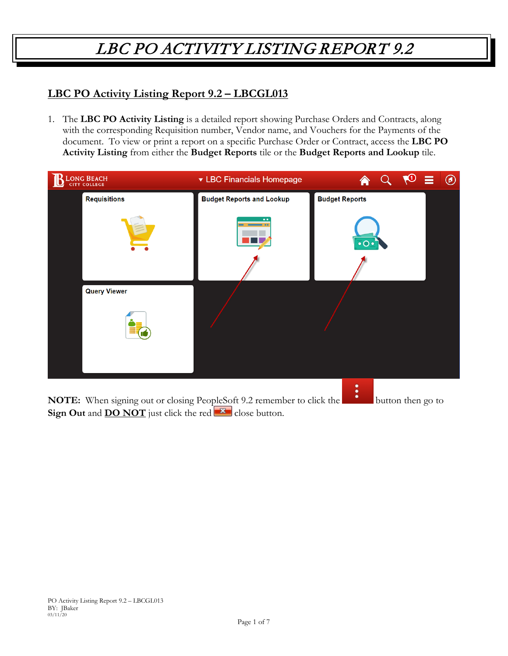#### **LBC PO Activity Listing Report 9.2 – LBCGL013**

1. The **LBC PO Activity Listing** is a detailed report showing Purchase Orders and Contracts, along with the corresponding Requisition number, Vendor name, and Vouchers for the Payments of the document. To view or print a report on a specific Purchase Order or Contract, access the **LBC PO Activity Listing** from either the **Budget Reports** tile or the **Budget Reports and Lookup** tile.

| LONG BEACH<br>CITY COLLEGE | ▼ LBC Financials Homepage        | ന<br>$^{\circledR}$<br>≡ |
|----------------------------|----------------------------------|--------------------------|
| <b>Requisitions</b>        | <b>Budget Reports and Lookup</b> | <b>Budget Reports</b>    |
|                            |                                  | $\cdot$ o $\cdot$        |
| <b>Query Viewer</b>        |                                  |                          |
|                            |                                  |                          |
|                            |                                  | ٠<br>٠                   |

**NOTE:** When signing out or closing PeopleSoft 9.2 remember to click the button then go to **Sign Out** and **DO NOT** just click the red **x** close button.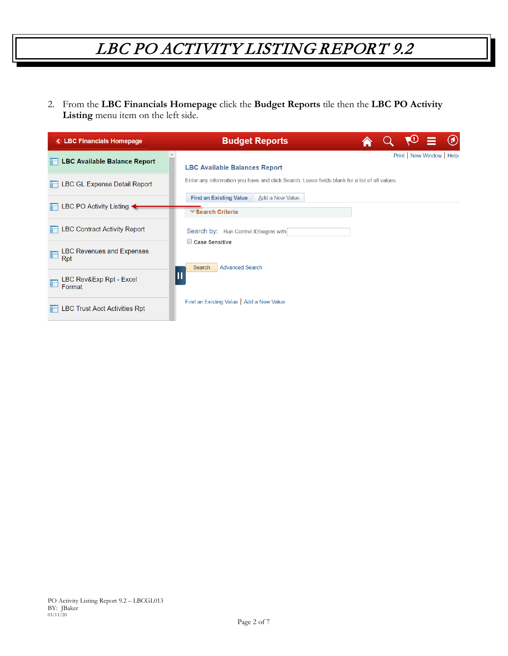2. From the **LBC Financials Homepage** click the **Budget Reports** tile then the **LBC PO Activity Listing** menu item on the left side.

| <b>&lt; LBC Financials Homepage</b>          | <b>Budget Reports</b>                                                                         |
|----------------------------------------------|-----------------------------------------------------------------------------------------------|
| <b>LBC Available Balance Report</b>          | Print   New Window   Help<br><b>LBC Available Balances Report</b>                             |
| <b>LBC GL Expense Detail Report</b>          | Enter any information you have and click Search. Leave fields blank for a list of all values. |
| LBC PO Activity Listing $\triangleleft$      | Add a New Value<br><b>Find an Existing Value</b><br>Search Criteria                           |
| <b>LBC Contract Activity Report</b>          | Search by: Run Control ID begins with                                                         |
| <b>LBC Revenues and Expenses</b><br>F<br>Rpt | Case Sensitive<br><b>Advanced Search</b><br>Search                                            |
| LBC Rev&Exp Rpt - Excel<br>Format            | Π                                                                                             |
| <b>LBC Trust Acct Activities Rpt</b>         | Find an Existing Value   Add a New Value                                                      |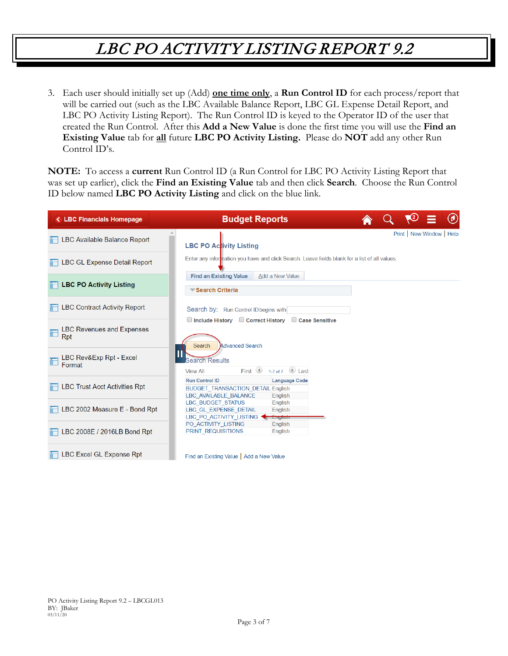3. Each user should initially set up (Add) **one time only**, a **Run Control ID** for each process/report that will be carried out (such as the LBC Available Balance Report, LBC GL Expense Detail Report, and LBC PO Activity Listing Report). The Run Control ID is keyed to the Operator ID of the user that created the Run Control. After this **Add a New Value** is done the first time you will use the **Find an Existing Value** tab for **all** future **LBC PO Activity Listing.** Please do **NOT** add any other Run Control ID's.

**NOTE:** To access a **current** Run Control ID (a Run Control for LBC PO Activity Listing Report that was set up earlier), click the **Find an Existing Value** tab and then click **Search**. Choose the Run Control ID below named **LBC PO Activity Listing** and click on the blue link.

| <b>&lt; LBC Financials Homepage</b>          | <b>Budget Reports</b>                                                                                                                |  | 0                         | $\circledcirc$ |
|----------------------------------------------|--------------------------------------------------------------------------------------------------------------------------------------|--|---------------------------|----------------|
| <b>LBC Available Balance Report</b>          | <b>LBC PO Activity Listing</b>                                                                                                       |  | Print   New Window   Help |                |
| <b>LBC GL Expense Detail Report</b>          | Enter any information you have and click Search. Leave fields blank for a list of all values.                                        |  |                           |                |
| <b>LBC PO Activity Listing</b>               | <b>Find an Existing Value</b><br>Add a New Value<br>Search Criteria                                                                  |  |                           |                |
| <b>LBC Contract Activity Report</b>          | Search by: Run Control ID begins with<br>$\Box$ Include History $\Box$ Correct History<br>Case Sensitive                             |  |                           |                |
| <b>LBC Revenues and Expenses</b><br>F<br>Rpt | <b>Advanced Search</b><br>Search                                                                                                     |  |                           |                |
| LBC Rev&Exp Rpt - Excel<br>Format            | <b>Search Results</b><br>1-7 of 7 $\Box$ Last<br>First $\bigcirc$<br><b>View All</b>                                                 |  |                           |                |
| <b>LBC Trust Acct Activities Rpt</b>         | <b>Run Control ID</b><br><b>Language Code</b><br><b>BUDGET TRANSACTION DETAIL English</b><br><b>LBC AVAILABLE BALANCE</b><br>English |  |                           |                |
| LBC 2002 Measure E - Bond Rpt                | <b>LBC BUDGET STATUS</b><br>English<br>LBC GL EXPENSE DETAIL<br>English<br>LBC_PO_ACTIVITY_LISTING<br><b>Lingiish</b>                |  |                           |                |
| LBC 2008E / 2016LB Bond Rpt                  | PO ACTIVITY LISTING<br>English<br>PRINT REQUISITIONS<br>English                                                                      |  |                           |                |
| <b>LBC Excel GL Expense Rpt</b>              | Find an Existing Value   Add a New Value                                                                                             |  |                           |                |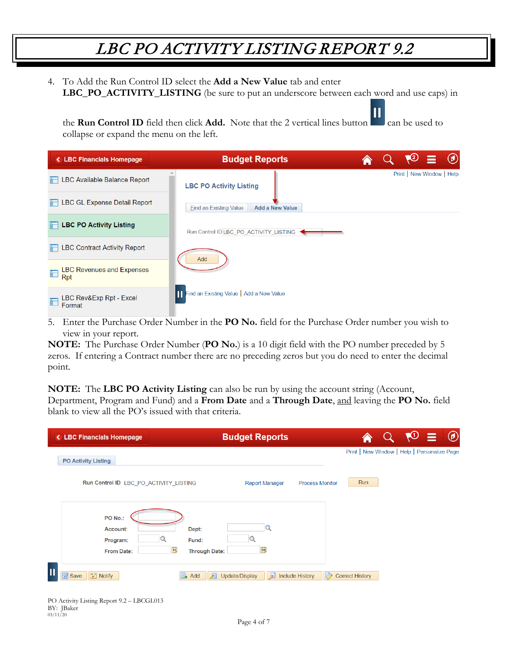4. To Add the Run Control ID select the **Add a New Value** tab and enter **LBC\_PO\_ACTIVITY\_LISTING** (be sure to put an underscore between each word and use caps) in

П the **Run Control ID** field then click **Add.** Note that the 2 vertical lines button can be used to collapse or expand the menu on the left.

| <b>&lt; LBC Financials Homepage</b>          | <b>Budget Reports</b>                                   |  | $\sqrt{2} \equiv \Theta$  |  |
|----------------------------------------------|---------------------------------------------------------|--|---------------------------|--|
| <b>LBC Available Balance Report</b>          | <b>LBC PO Activity Listing</b>                          |  | Print   New Window   Help |  |
| <b>LBC GL Expense Detail Report</b>          | <b>Add a New Value</b><br><b>Eind an Existing Value</b> |  |                           |  |
| <b>Example 2 LBC PO Activity Listing</b>     | Run Control ID LBC PO ACTIVITY LISTING                  |  |                           |  |
| <b>LBC Contract Activity Report</b>          | Add                                                     |  |                           |  |
| <b>LBC Revenues and Expenses</b><br>F<br>Rpt |                                                         |  |                           |  |
| LBC Rev&Exp Rpt - Excel<br>Format            | Find an Existing Value   Add a New Value                |  |                           |  |

5. Enter the Purchase Order Number in the **PO No.** field for the Purchase Order number you wish to view in your report.

**NOTE:** The Purchase Order Number (**PO No.**) is a 10 digit field with the PO number preceded by 5 zeros. If entering a Contract number there are no preceding zeros but you do need to enter the decimal point.

**NOTE:** The **LBC PO Activity Listing** can also be run by using the account string (Account, Department, Program and Fund) and a **From Date** and a **Through Date**, and leaving the **PO No.** field blank to view all the PO's issued with that criteria.

| <b>&lt; LBC Financials Homepage</b>         | <b>Budget Reports</b>                                                                       | <b>RO</b><br>$\circledcirc$<br>- 2           |
|---------------------------------------------|---------------------------------------------------------------------------------------------|----------------------------------------------|
| <b>PO Activity Listing</b>                  |                                                                                             | Print   New Window   Help   Personalize Page |
| Run Control ID LBC PO ACTIVITY LISTING      | <b>Report Manager</b><br><b>Process Monitor</b>                                             | <b>Run</b>                                   |
| PO No.:                                     |                                                                                             |                                              |
| Account:                                    | Dept:                                                                                       |                                              |
| Program:                                    | Fund:                                                                                       |                                              |
| From Date:                                  | BU<br>31<br><b>Through Date:</b>                                                            |                                              |
| π<br>$\Box$ Save<br>$\boxed{\equiv}$ Notify | Include History<br>$\mathbb{D}$<br>$\overline{\mathcal{E}}$<br>$\Box$ Add<br>Update/Display | <b>Correct History</b>                       |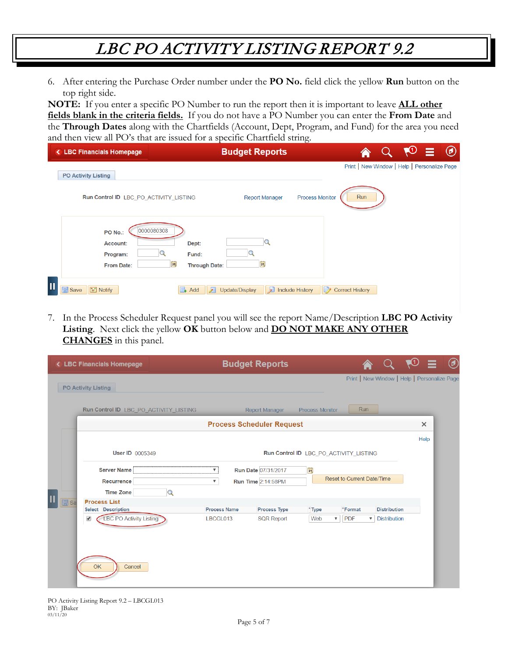6. After entering the Purchase Order number under the **PO No.** field click the yellow **Run** button on the top right side.

**NOTE:** If you enter a specific PO Number to run the report then it is important to leave **ALL other fields blank in the criteria fields.** If you do not have a PO Number you can enter the **From Date** and the **Through Dates** along with the Chartfields (Account, Dept, Program, and Fund) for the area you need and then view all PO's that are issued for a specific Chartfield string.

| <b>&lt; LBC Financials Homepage</b>                                                                                | <b>Budget Reports</b> | $\overline{\phantom{0}}$     |                                              | <b>KU</b> | E | O |
|--------------------------------------------------------------------------------------------------------------------|-----------------------|------------------------------|----------------------------------------------|-----------|---|---|
| <b>PO Activity Listing</b>                                                                                         |                       |                              | Print   New Window   Help   Personalize Page |           |   |   |
| Run Control ID LBC_PO_ACTIVITY_LISTING                                                                             | <b>Report Manager</b> | <b>Process Monitor</b>       | Run                                          |           |   |   |
| 0000080308<br>PO No.:<br>Account:<br>Dept:<br>Fund:<br>Program:<br>B1<br><b>Through Date:</b><br><b>From Date:</b> | B                     |                              |                                              |           |   |   |
| 人<br>$\boxed{\equiv}$ Notify<br>$\mathbb{R}$ Save<br>$\Box$ Add                                                    | 园<br>Update/Display   | B)<br><b>Include History</b> | <b>Correct History</b>                       |           |   |   |

7. In the Process Scheduler Request panel you will see the report Name/Description **LBC PO Activity Listing**. Next click the yellow **OK** button below and **DO NOT MAKE ANY OTHER CHANGES** in this panel.

| < LBC Financials Homepage                                       |                                                                                                                                                                                                                                                                                                                                                                                                                                                                                                  |                                                                                            |          |  |      | $^{\textregistered}$ |
|-----------------------------------------------------------------|--------------------------------------------------------------------------------------------------------------------------------------------------------------------------------------------------------------------------------------------------------------------------------------------------------------------------------------------------------------------------------------------------------------------------------------------------------------------------------------------------|--------------------------------------------------------------------------------------------|----------|--|------|----------------------|
| <b>PO Activity Listing</b>                                      |                                                                                                                                                                                                                                                                                                                                                                                                                                                                                                  |                                                                                            |          |  |      |                      |
| Run Control ID LBC_PO_ACTIVITY_LISTING                          | <b>Budget Reports</b><br><b>Run</b><br><b>Process Monitor</b><br>Report Manager<br><b>Process Scheduler Request</b><br>Run Control ID LBC PO ACTIVITY LISTING<br>Run Date 07/31/2017<br> n <br>$\overline{\mathbf{v}}$<br>Reset to Current Date/Time<br><b>Run Time 2:14:58PM</b><br>$\boldsymbol{\mathrm{v}}$<br><b>Process Name</b><br><b>Process Type</b><br>*Format<br>*Type<br>Web<br><b>PDF</b><br>LBCGL013<br><b>SQR Report</b><br>$\boldsymbol{\mathrm{v}}$<br>$\boldsymbol{\mathrm{v}}$ |                                                                                            |          |  |      |                      |
|                                                                 |                                                                                                                                                                                                                                                                                                                                                                                                                                                                                                  | Print   New Window   Help   Personalize Page<br><b>Distribution</b><br><b>Distribution</b> | $\times$ |  |      |                      |
|                                                                 |                                                                                                                                                                                                                                                                                                                                                                                                                                                                                                  |                                                                                            |          |  | Help |                      |
| <b>User ID 0005349</b>                                          |                                                                                                                                                                                                                                                                                                                                                                                                                                                                                                  |                                                                                            |          |  |      |                      |
| <b>Server Name</b>                                              |                                                                                                                                                                                                                                                                                                                                                                                                                                                                                                  |                                                                                            |          |  |      |                      |
| Recurrence                                                      |                                                                                                                                                                                                                                                                                                                                                                                                                                                                                                  |                                                                                            |          |  |      |                      |
| <b>Time Zone</b>                                                |                                                                                                                                                                                                                                                                                                                                                                                                                                                                                                  |                                                                                            |          |  |      |                      |
| <b>同</b> Sa<br><b>Process List</b><br><b>Select Description</b> |                                                                                                                                                                                                                                                                                                                                                                                                                                                                                                  |                                                                                            |          |  |      |                      |
| <b>LBC PO Activity Listing</b><br>$\blacktriangledown$          |                                                                                                                                                                                                                                                                                                                                                                                                                                                                                                  |                                                                                            |          |  |      |                      |
| OK<br>Cancel                                                    |                                                                                                                                                                                                                                                                                                                                                                                                                                                                                                  |                                                                                            |          |  |      |                      |

PO Activity Listing Report 9.2 – LBCGL013 BY: JBaker 03/11/20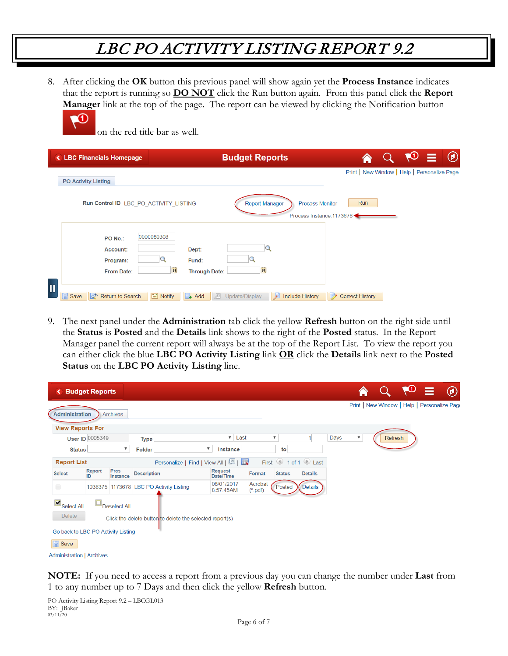8. After clicking the **OK** button this previous panel will show again yet the **Process Instance** indicates that the report is running so **DO NOT** click the Run button again. From this panel click the **Report Manager** link at the top of the page. The report can be viewed by clicking the Notification button



on the red title bar as well.

| <b>&lt; LBC Financials Homepage</b>                                                                                | <b>Budget Reports</b>                                                        |                        | <b>RO</b>                                    | $\circledcirc$ |
|--------------------------------------------------------------------------------------------------------------------|------------------------------------------------------------------------------|------------------------|----------------------------------------------|----------------|
| <b>PO Activity Listing</b>                                                                                         |                                                                              |                        | Print   New Window   Help   Personalize Page |                |
| Run Control ID LBC PO ACTIVITY LISTING                                                                             | <b>Report Manager</b><br><b>Process Monitor</b><br>Process Instance: 1173678 | Run                    |                                              |                |
| 0000080308<br>PO No.:<br>Dept:<br>Account:<br>Fund:<br>Program:<br>31<br><b>Through Date:</b><br><b>From Date:</b> | 31                                                                           |                        |                                              |                |
| <b>日</b> Save<br>$\boxed{\equiv}$ Notify<br><b>Return to Search</b><br>犀<br>lot.<br>$\rightarrow$ Add              | B<br>屓<br>Update/Display<br><b>Include History</b>                           | <b>Correct History</b> |                                              |                |

9. The next panel under the **Administration** tab click the yellow **Refresh** button on the right side until the **Status** is **Posted** and the **Details** link shows to the right of the **Posted** status. In the Report Manager panel the current report will always be at the top of the Report List. To view the report you can either click the blue **LBC PO Activity Listing** link **OR** click the **Details** link next to the **Posted Status** on the **LBC PO Activity Listing** line.

| ≺                                  | <b>Budget Reports</b>  |                         |                    |                                                          |                                     |                      |                           |                     |      |                           |                                              | $\bullet$ | ≡ | $^\text{\textregistered}$ |
|------------------------------------|------------------------|-------------------------|--------------------|----------------------------------------------------------|-------------------------------------|----------------------|---------------------------|---------------------|------|---------------------------|----------------------------------------------|-----------|---|---------------------------|
| <b>Administration</b>              |                        | <b>Archives</b>         |                    |                                                          |                                     |                      |                           |                     |      |                           | Print   New Window   Help   Personalize Page |           |   |                           |
| <b>View Reports For</b>            |                        |                         |                    |                                                          |                                     |                      |                           |                     |      |                           |                                              |           |   |                           |
|                                    | <b>User ID 0005349</b> |                         | <b>Type</b>        |                                                          | $\mathbf{v}$                        | Last                 | $\boldsymbol{\mathrm{v}}$ |                     | Days | $\boldsymbol{\mathbb{v}}$ | <b>Refresh</b>                               |           |   |                           |
| <b>Status</b>                      |                        | $\overline{\mathbf{v}}$ | Folder             |                                                          | $\overline{\mathbf{v}}$<br>Instance |                      | to                        |                     |      |                           |                                              |           |   |                           |
| <b>Report List</b>                 |                        |                         |                    | Personalize   Find   View All   2                        |                                     |                      |                           | First 1 of 1 D Last |      |                           |                                              |           |   |                           |
| <b>Select</b>                      | Report<br>ID           | Prcs<br>Instance        | <b>Description</b> |                                                          | Request<br>Date/Time                | Format               | <b>Status</b>             | <b>Details</b>      |      |                           |                                              |           |   |                           |
| $\Box$                             |                        |                         |                    | 1038375 1173678 LBC PO Activity Listing                  | 08/01/2017<br>8:57:45AM             | Acrobat<br>$(*.pdf)$ | Posted                    | Details             |      |                           |                                              |           |   |                           |
| $\overline{\mathbf{S}}$ Select All |                        | Deselect All            |                    |                                                          |                                     |                      |                           |                     |      |                           |                                              |           |   |                           |
| <b>Delete</b>                      |                        |                         |                    | Click the delete button to delete the selected report(s) |                                     |                      |                           |                     |      |                           |                                              |           |   |                           |
| Go back to LBC PO Activity Listing |                        |                         |                    |                                                          |                                     |                      |                           |                     |      |                           |                                              |           |   |                           |
| $\Box$ Save                        |                        |                         |                    |                                                          |                                     |                      |                           |                     |      |                           |                                              |           |   |                           |
| <b>Administration   Archives</b>   |                        |                         |                    |                                                          |                                     |                      |                           |                     |      |                           |                                              |           |   |                           |

**NOTE:** If you need to access a report from a previous day you can change the number under **Last** from 1 to any number up to 7 Days and then click the yellow **Refresh** button.